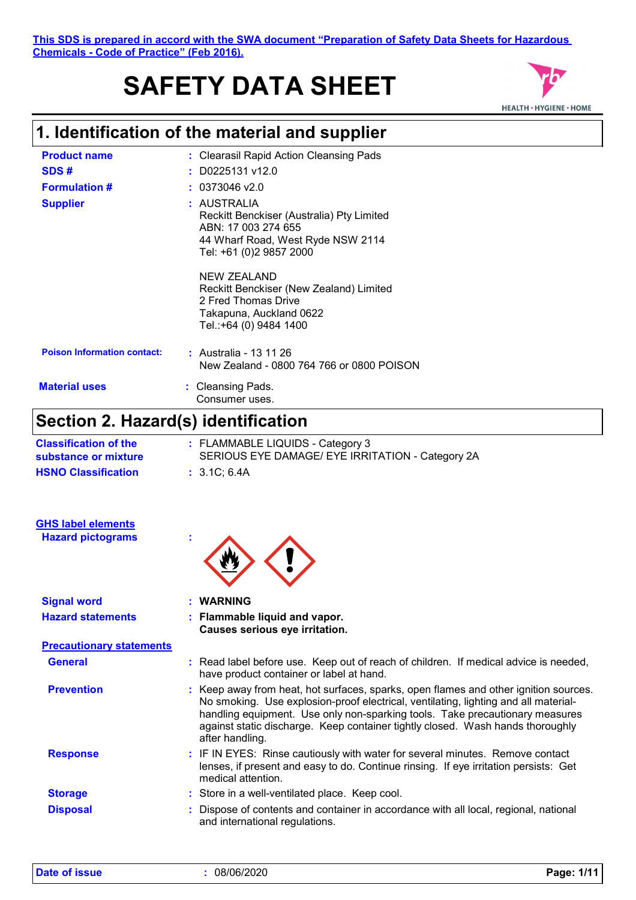# **SAFETY DATA SHEET**



# **1. Identification of the material and supplier**

| <b>Product name</b>                | : Clearasil Rapid Action Cleansing Pads                                                                                                         |
|------------------------------------|-------------------------------------------------------------------------------------------------------------------------------------------------|
| SDS#                               | $:$ D0225131 v12.0                                                                                                                              |
| <b>Formulation #</b>               | $: 0373046$ v2.0                                                                                                                                |
| <b>Supplier</b>                    | : AUSTRALIA<br>Reckitt Benckiser (Australia) Pty Limited<br>ABN: 17 003 274 655<br>44 Wharf Road, West Ryde NSW 2114<br>Tel: +61 (0)2 9857 2000 |
|                                    | <b>NEW ZEALAND</b><br>Reckitt Benckiser (New Zealand) Limited<br>2 Fred Thomas Drive<br>Takapuna, Auckland 0622<br>Tel.:+64 (0) 9484 1400       |
| <b>Poison Information contact:</b> | : Australia - 13 11 26<br>New Zealand - 0800 764 766 or 0800 POISON                                                                             |
| <b>Material uses</b>               | : Cleansing Pads.<br>Consumer uses.                                                                                                             |

### **Section 2. Hazard(s) identification**

| <b>Classification of the</b><br>substance or mixture | : FLAMMABLE LIQUIDS - Category 3<br>SERIOUS EYE DAMAGE/ EYE IRRITATION - Category 2A |
|------------------------------------------------------|--------------------------------------------------------------------------------------|
| <b>HSNO Classification</b>                           | : 3.1C: 6.4A                                                                         |

| <b>GHS label elements</b><br><b>Hazard pictograms</b> |                                                                                                                                                                                                                                                                                                                                                                  |
|-------------------------------------------------------|------------------------------------------------------------------------------------------------------------------------------------------------------------------------------------------------------------------------------------------------------------------------------------------------------------------------------------------------------------------|
| <b>Signal word</b>                                    | : WARNING                                                                                                                                                                                                                                                                                                                                                        |
| <b>Hazard statements</b>                              | : Flammable liquid and vapor.<br>Causes serious eye irritation.                                                                                                                                                                                                                                                                                                  |
| <b>Precautionary statements</b>                       |                                                                                                                                                                                                                                                                                                                                                                  |
| <b>General</b>                                        | : Read label before use. Keep out of reach of children. If medical advice is needed,<br>have product container or label at hand.                                                                                                                                                                                                                                 |
| <b>Prevention</b>                                     | : Keep away from heat, hot surfaces, sparks, open flames and other ignition sources.<br>No smoking. Use explosion-proof electrical, ventilating, lighting and all material-<br>handling equipment. Use only non-sparking tools. Take precautionary measures<br>against static discharge. Keep container tightly closed. Wash hands thoroughly<br>after handling. |
| <b>Response</b>                                       | : IF IN EYES: Rinse cautiously with water for several minutes. Remove contact<br>lenses, if present and easy to do. Continue rinsing. If eye irritation persists: Get<br>medical attention.                                                                                                                                                                      |
| <b>Storage</b>                                        | : Store in a well-ventilated place. Keep cool.                                                                                                                                                                                                                                                                                                                   |
| <b>Disposal</b>                                       | : Dispose of contents and container in accordance with all local, regional, national<br>and international regulations.                                                                                                                                                                                                                                           |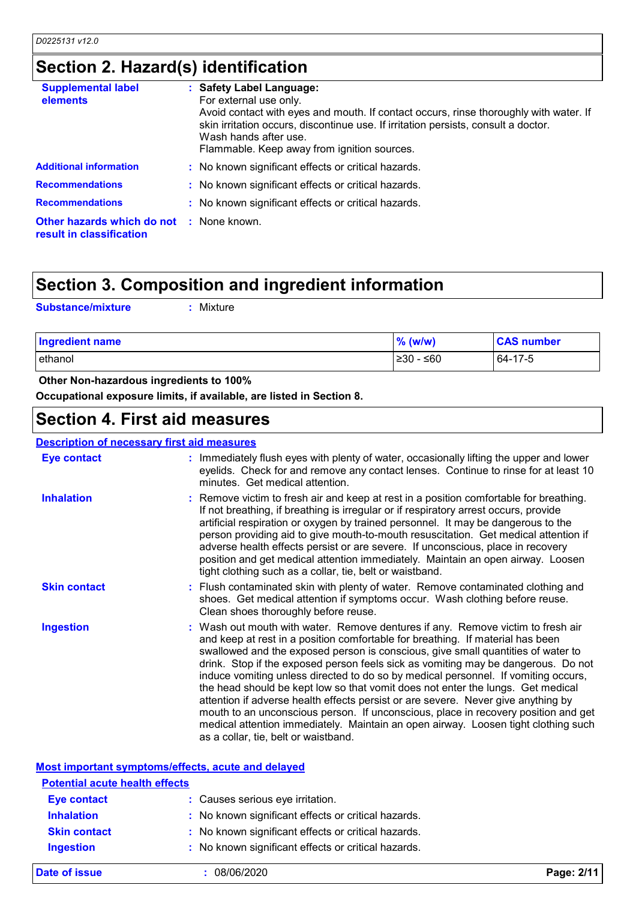### **Section 2. Hazard(s) identification**

| <b>Supplemental label</b><br>elements                                       | : Safety Label Language:<br>For external use only.<br>Avoid contact with eyes and mouth. If contact occurs, rinse thoroughly with water. If<br>skin irritation occurs, discontinue use. If irritation persists, consult a doctor.<br>Wash hands after use.<br>Flammable. Keep away from ignition sources. |
|-----------------------------------------------------------------------------|-----------------------------------------------------------------------------------------------------------------------------------------------------------------------------------------------------------------------------------------------------------------------------------------------------------|
| <b>Additional information</b>                                               | : No known significant effects or critical hazards.                                                                                                                                                                                                                                                       |
| <b>Recommendations</b>                                                      | : No known significant effects or critical hazards.                                                                                                                                                                                                                                                       |
| <b>Recommendations</b>                                                      | : No known significant effects or critical hazards.                                                                                                                                                                                                                                                       |
| <b>Other hazards which do not : None known.</b><br>result in classification |                                                                                                                                                                                                                                                                                                           |

### **Section 3. Composition and ingredient information**

```
Substance/mixture :
```
: Mixture

| <b>Ingredient name</b> | $%$ (w/w)   | <b>CAS number</b> |  |
|------------------------|-------------|-------------------|--|
| ethanol                | $≥30 - ≤60$ | 64-17-5           |  |

#### **Other Non-hazardous ingredients to 100%**

**Occupational exposure limits, if available, are listed in Section 8.**

### **Section 4. First aid measures**

#### **Description of necessary first aid measures**

| <b>Eye contact</b>  | : Immediately flush eyes with plenty of water, occasionally lifting the upper and lower<br>eyelids. Check for and remove any contact lenses. Continue to rinse for at least 10<br>minutes. Get medical attention.                                                                                                                                                                                                                                                                                                                                                                                                                                                                                                                                                                                                            |
|---------------------|------------------------------------------------------------------------------------------------------------------------------------------------------------------------------------------------------------------------------------------------------------------------------------------------------------------------------------------------------------------------------------------------------------------------------------------------------------------------------------------------------------------------------------------------------------------------------------------------------------------------------------------------------------------------------------------------------------------------------------------------------------------------------------------------------------------------------|
| <b>Inhalation</b>   | : Remove victim to fresh air and keep at rest in a position comfortable for breathing.<br>If not breathing, if breathing is irregular or if respiratory arrest occurs, provide<br>artificial respiration or oxygen by trained personnel. It may be dangerous to the<br>person providing aid to give mouth-to-mouth resuscitation. Get medical attention if<br>adverse health effects persist or are severe. If unconscious, place in recovery<br>position and get medical attention immediately. Maintain an open airway. Loosen<br>tight clothing such as a collar, tie, belt or waistband.                                                                                                                                                                                                                                 |
| <b>Skin contact</b> | Flush contaminated skin with plenty of water. Remove contaminated clothing and<br>shoes. Get medical attention if symptoms occur. Wash clothing before reuse.<br>Clean shoes thoroughly before reuse.                                                                                                                                                                                                                                                                                                                                                                                                                                                                                                                                                                                                                        |
| <b>Ingestion</b>    | : Wash out mouth with water. Remove dentures if any. Remove victim to fresh air<br>and keep at rest in a position comfortable for breathing. If material has been<br>swallowed and the exposed person is conscious, give small quantities of water to<br>drink. Stop if the exposed person feels sick as vomiting may be dangerous. Do not<br>induce vomiting unless directed to do so by medical personnel. If vomiting occurs,<br>the head should be kept low so that vomit does not enter the lungs. Get medical<br>attention if adverse health effects persist or are severe. Never give anything by<br>mouth to an unconscious person. If unconscious, place in recovery position and get<br>medical attention immediately. Maintain an open airway. Loosen tight clothing such<br>as a collar, tie, belt or waistband. |

#### **Most important symptoms/effects, acute and delayed**

| <b>Potential acute health effects</b> |                                                     |
|---------------------------------------|-----------------------------------------------------|
| <b>Eye contact</b>                    | : Causes serious eye irritation.                    |
| <b>Inhalation</b>                     | : No known significant effects or critical hazards. |
| <b>Skin contact</b>                   | : No known significant effects or critical hazards. |
| <b>Ingestion</b>                      | : No known significant effects or critical hazards. |
|                                       |                                                     |

**Date of issue :** 08/06/2020 **Page: 2/11**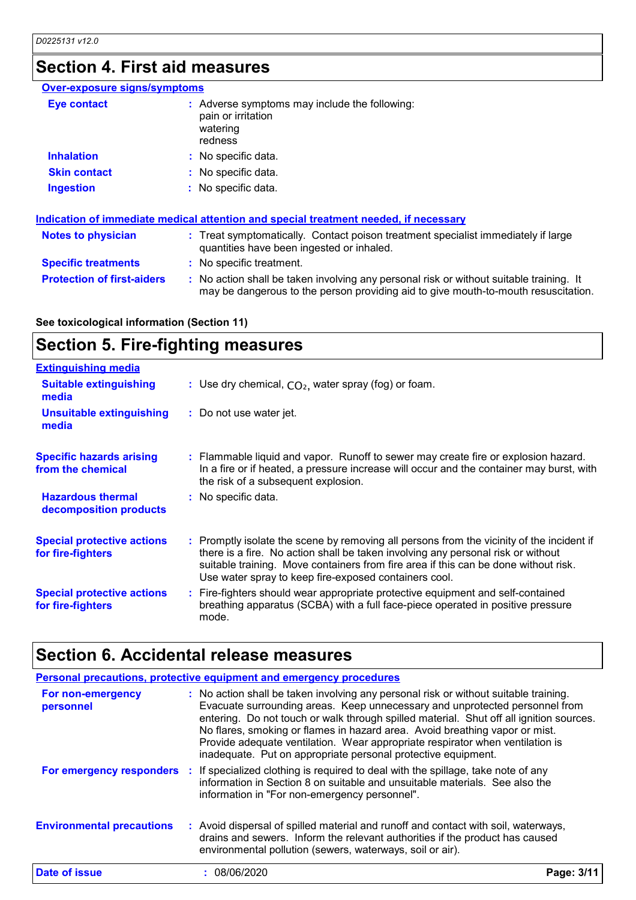## **Section 4. First aid measures**

| <b>Over-exposure signs/symptoms</b>                                                                                                                                                                    |                                                                                                                                                                               |  |
|--------------------------------------------------------------------------------------------------------------------------------------------------------------------------------------------------------|-------------------------------------------------------------------------------------------------------------------------------------------------------------------------------|--|
| <b>Eye contact</b>                                                                                                                                                                                     | : Adverse symptoms may include the following:<br>pain or irritation<br>watering<br>redness                                                                                    |  |
| <b>Inhalation</b>                                                                                                                                                                                      | : No specific data.                                                                                                                                                           |  |
| <b>Skin contact</b>                                                                                                                                                                                    | : No specific data.                                                                                                                                                           |  |
| <b>Ingestion</b>                                                                                                                                                                                       | : No specific data.                                                                                                                                                           |  |
| Indication of immediate medical attention and special treatment needed, if necessary<br><b>Notes to physician</b><br>: Treat symptomatically. Contact poison treatment specialist immediately if large |                                                                                                                                                                               |  |
|                                                                                                                                                                                                        | quantities have been ingested or inhaled.                                                                                                                                     |  |
| <b>Specific treatments</b>                                                                                                                                                                             | : No specific treatment.                                                                                                                                                      |  |
| <b>Protection of first-aiders</b>                                                                                                                                                                      | : No action shall be taken involving any personal risk or without suitable training. It<br>may be dangerous to the person providing aid to give mouth-to-mouth resuscitation. |  |

**See toxicological information (Section 11)**

### **Section 5. Fire-fighting measures**

| <b>Extinguishing media</b>                             |                                                                                                                                                                                                                                                                                                                               |
|--------------------------------------------------------|-------------------------------------------------------------------------------------------------------------------------------------------------------------------------------------------------------------------------------------------------------------------------------------------------------------------------------|
| <b>Suitable extinguishing</b><br>media                 | : Use dry chemical, $CO2$ , water spray (fog) or foam.                                                                                                                                                                                                                                                                        |
| <b>Unsuitable extinguishing</b><br>media               | : Do not use water jet.                                                                                                                                                                                                                                                                                                       |
| <b>Specific hazards arising</b><br>from the chemical   | : Flammable liquid and vapor. Runoff to sewer may create fire or explosion hazard.<br>In a fire or if heated, a pressure increase will occur and the container may burst, with<br>the risk of a subsequent explosion.                                                                                                         |
| <b>Hazardous thermal</b><br>decomposition products     | : No specific data.                                                                                                                                                                                                                                                                                                           |
| <b>Special protective actions</b><br>for fire-fighters | : Promptly isolate the scene by removing all persons from the vicinity of the incident if<br>there is a fire. No action shall be taken involving any personal risk or without<br>suitable training. Move containers from fire area if this can be done without risk.<br>Use water spray to keep fire-exposed containers cool. |
| <b>Special protective actions</b><br>for fire-fighters | : Fire-fighters should wear appropriate protective equipment and self-contained<br>breathing apparatus (SCBA) with a full face-piece operated in positive pressure<br>mode.                                                                                                                                                   |

# **Section 6. Accidental release measures**

|                                  | Personal precautions, protective equipment and emergency procedures                                                                                                                                                                                                                                                                                                                                                                                                                             |            |
|----------------------------------|-------------------------------------------------------------------------------------------------------------------------------------------------------------------------------------------------------------------------------------------------------------------------------------------------------------------------------------------------------------------------------------------------------------------------------------------------------------------------------------------------|------------|
| For non-emergency<br>personnel   | : No action shall be taken involving any personal risk or without suitable training.<br>Evacuate surrounding areas. Keep unnecessary and unprotected personnel from<br>entering. Do not touch or walk through spilled material. Shut off all ignition sources.<br>No flares, smoking or flames in hazard area. Avoid breathing vapor or mist.<br>Provide adequate ventilation. Wear appropriate respirator when ventilation is<br>inadequate. Put on appropriate personal protective equipment. |            |
|                                  | For emergency responders : If specialized clothing is required to deal with the spillage, take note of any<br>information in Section 8 on suitable and unsuitable materials. See also the<br>information in "For non-emergency personnel".                                                                                                                                                                                                                                                      |            |
| <b>Environmental precautions</b> | : Avoid dispersal of spilled material and runoff and contact with soil, waterways,<br>drains and sewers. Inform the relevant authorities if the product has caused<br>environmental pollution (sewers, waterways, soil or air).                                                                                                                                                                                                                                                                 |            |
| Date of issue                    | 08/06/2020                                                                                                                                                                                                                                                                                                                                                                                                                                                                                      | Page: 3/11 |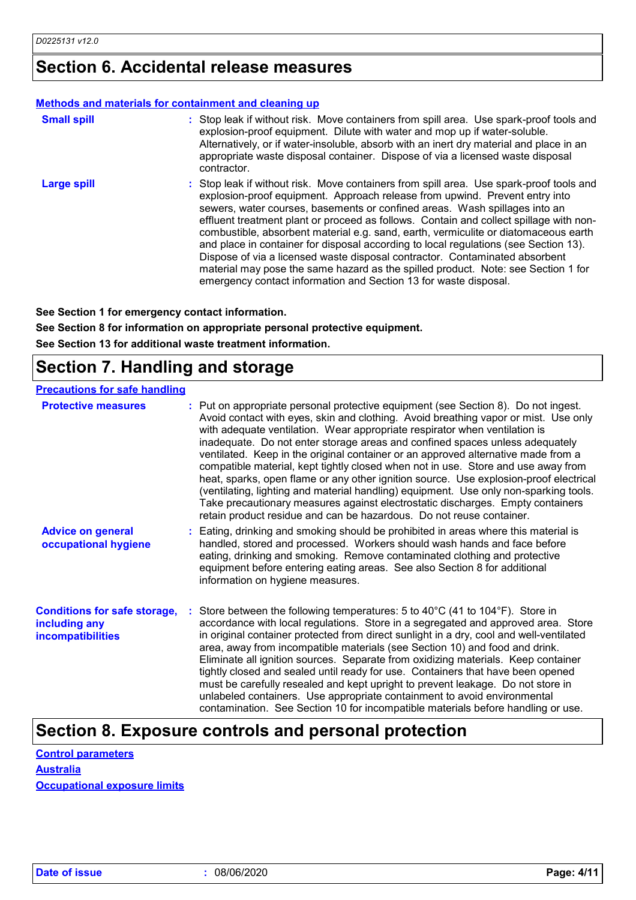### **Section 6. Accidental release measures**

#### **Methods and materials for containment and cleaning up**

| <b>Small spill</b> | : Stop leak if without risk. Move containers from spill area. Use spark-proof tools and<br>explosion-proof equipment. Dilute with water and mop up if water-soluble.<br>Alternatively, or if water-insoluble, absorb with an inert dry material and place in an<br>appropriate waste disposal container. Dispose of via a licensed waste disposal<br>contractor.                                                                                                                                                                                                                                                                                                                                                                                                      |
|--------------------|-----------------------------------------------------------------------------------------------------------------------------------------------------------------------------------------------------------------------------------------------------------------------------------------------------------------------------------------------------------------------------------------------------------------------------------------------------------------------------------------------------------------------------------------------------------------------------------------------------------------------------------------------------------------------------------------------------------------------------------------------------------------------|
| <b>Large spill</b> | : Stop leak if without risk. Move containers from spill area. Use spark-proof tools and<br>explosion-proof equipment. Approach release from upwind. Prevent entry into<br>sewers, water courses, basements or confined areas. Wash spillages into an<br>effluent treatment plant or proceed as follows. Contain and collect spillage with non-<br>combustible, absorbent material e.g. sand, earth, vermiculite or diatomaceous earth<br>and place in container for disposal according to local regulations (see Section 13).<br>Dispose of via a licensed waste disposal contractor. Contaminated absorbent<br>material may pose the same hazard as the spilled product. Note: see Section 1 for<br>emergency contact information and Section 13 for waste disposal. |

**See Section 1 for emergency contact information.**

**See Section 8 for information on appropriate personal protective equipment. See Section 13 for additional waste treatment information.**

### **Section 7. Handling and storage**

| <b>Precautions for safe handling</b>                                             |                                                                                                                                                                                                                                                                                                                                                                                                                                                                                                                                                                                                                                                                                                                                                                                                                                                               |
|----------------------------------------------------------------------------------|---------------------------------------------------------------------------------------------------------------------------------------------------------------------------------------------------------------------------------------------------------------------------------------------------------------------------------------------------------------------------------------------------------------------------------------------------------------------------------------------------------------------------------------------------------------------------------------------------------------------------------------------------------------------------------------------------------------------------------------------------------------------------------------------------------------------------------------------------------------|
| <b>Protective measures</b>                                                       | : Put on appropriate personal protective equipment (see Section 8). Do not ingest.<br>Avoid contact with eyes, skin and clothing. Avoid breathing vapor or mist. Use only<br>with adequate ventilation. Wear appropriate respirator when ventilation is<br>inadequate. Do not enter storage areas and confined spaces unless adequately<br>ventilated. Keep in the original container or an approved alternative made from a<br>compatible material, kept tightly closed when not in use. Store and use away from<br>heat, sparks, open flame or any other ignition source. Use explosion-proof electrical<br>(ventilating, lighting and material handling) equipment. Use only non-sparking tools.<br>Take precautionary measures against electrostatic discharges. Empty containers<br>retain product residue and can be hazardous. Do not reuse container. |
| <b>Advice on general</b><br>occupational hygiene                                 | : Eating, drinking and smoking should be prohibited in areas where this material is<br>handled, stored and processed. Workers should wash hands and face before<br>eating, drinking and smoking. Remove contaminated clothing and protective<br>equipment before entering eating areas. See also Section 8 for additional<br>information on hygiene measures.                                                                                                                                                                                                                                                                                                                                                                                                                                                                                                 |
| <b>Conditions for safe storage,</b><br>including any<br><i>incompatibilities</i> | Store between the following temperatures: 5 to 40 $\degree$ C (41 to 104 $\degree$ F). Store in<br>accordance with local regulations. Store in a segregated and approved area. Store<br>in original container protected from direct sunlight in a dry, cool and well-ventilated<br>area, away from incompatible materials (see Section 10) and food and drink.<br>Eliminate all ignition sources. Separate from oxidizing materials. Keep container<br>tightly closed and sealed until ready for use. Containers that have been opened<br>must be carefully resealed and kept upright to prevent leakage. Do not store in<br>unlabeled containers. Use appropriate containment to avoid environmental<br>contamination. See Section 10 for incompatible materials before handling or use.                                                                     |

### **Section 8. Exposure controls and personal protection**

| <b>Control parameters</b>           |  |
|-------------------------------------|--|
| <b>Australia</b>                    |  |
| <b>Occupational exposure limits</b> |  |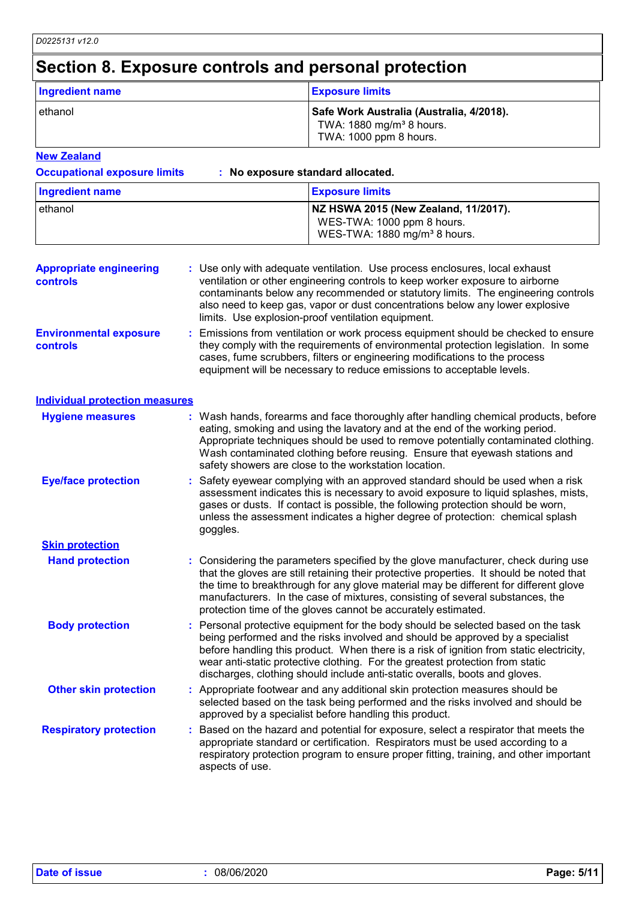### **Section 8. Exposure controls and personal protection**

| <b>Ingredient name</b> | <b>Exposure limits</b>                                                                                     |
|------------------------|------------------------------------------------------------------------------------------------------------|
| l ethanol              | Safe Work Australia (Australia, 4/2018).<br>TWA: 1880 mg/m <sup>3</sup> 8 hours.<br>TWA: 1000 ppm 8 hours. |

**New Zealand**

| <b>Occupational exposure limits</b> | : No exposure standard allocated.        |  |  |
|-------------------------------------|------------------------------------------|--|--|
| Ingredient name                     | <b>Exposure limits</b>                   |  |  |
| ethanol                             | NZ HSWA 2015 (New Zealand, 11/2017).     |  |  |
|                                     | WES-TWA: 1000 ppm 8 hours.               |  |  |
|                                     | WES-TWA: 1880 mg/m <sup>3</sup> 8 hours. |  |  |

| <b>Appropriate engineering</b><br>controls       | : Use only with adequate ventilation. Use process enclosures, local exhaust<br>ventilation or other engineering controls to keep worker exposure to airborne<br>contaminants below any recommended or statutory limits. The engineering controls<br>also need to keep gas, vapor or dust concentrations below any lower explosive<br>limits. Use explosion-proof ventilation equipment. |
|--------------------------------------------------|-----------------------------------------------------------------------------------------------------------------------------------------------------------------------------------------------------------------------------------------------------------------------------------------------------------------------------------------------------------------------------------------|
| <b>Environmental exposure</b><br><b>controls</b> | : Emissions from ventilation or work process equipment should be checked to ensure<br>they comply with the requirements of environmental protection legislation. In some<br>cases, fume scrubbers, filters or engineering modifications to the process                                                                                                                                  |

|                                       | equipment will be necessary to reduce emissions to acceptable levels.                                                                                                                                                                                                                                                                                                                                                         |
|---------------------------------------|-------------------------------------------------------------------------------------------------------------------------------------------------------------------------------------------------------------------------------------------------------------------------------------------------------------------------------------------------------------------------------------------------------------------------------|
| <b>Individual protection measures</b> |                                                                                                                                                                                                                                                                                                                                                                                                                               |
| <b>Hygiene measures</b>               | : Wash hands, forearms and face thoroughly after handling chemical products, before<br>eating, smoking and using the lavatory and at the end of the working period.<br>Appropriate techniques should be used to remove potentially contaminated clothing.<br>Wash contaminated clothing before reusing. Ensure that eyewash stations and<br>safety showers are close to the workstation location.                             |
| <b>Eye/face protection</b>            | : Safety eyewear complying with an approved standard should be used when a risk<br>assessment indicates this is necessary to avoid exposure to liquid splashes, mists,<br>gases or dusts. If contact is possible, the following protection should be worn,<br>unless the assessment indicates a higher degree of protection: chemical splash<br>goggles.                                                                      |
| <b>Skin protection</b>                |                                                                                                                                                                                                                                                                                                                                                                                                                               |
| <b>Hand protection</b>                | : Considering the parameters specified by the glove manufacturer, check during use<br>that the gloves are still retaining their protective properties. It should be noted that<br>the time to breakthrough for any glove material may be different for different glove<br>manufacturers. In the case of mixtures, consisting of several substances, the<br>protection time of the gloves cannot be accurately estimated.      |
| <b>Body protection</b>                | : Personal protective equipment for the body should be selected based on the task<br>being performed and the risks involved and should be approved by a specialist<br>before handling this product. When there is a risk of ignition from static electricity,<br>wear anti-static protective clothing. For the greatest protection from static<br>discharges, clothing should include anti-static overalls, boots and gloves. |
| <b>Other skin protection</b>          | : Appropriate footwear and any additional skin protection measures should be<br>selected based on the task being performed and the risks involved and should be<br>approved by a specialist before handling this product.                                                                                                                                                                                                     |
| <b>Respiratory protection</b>         | Based on the hazard and potential for exposure, select a respirator that meets the<br>appropriate standard or certification. Respirators must be used according to a<br>respiratory protection program to ensure proper fitting, training, and other important                                                                                                                                                                |

aspects of use.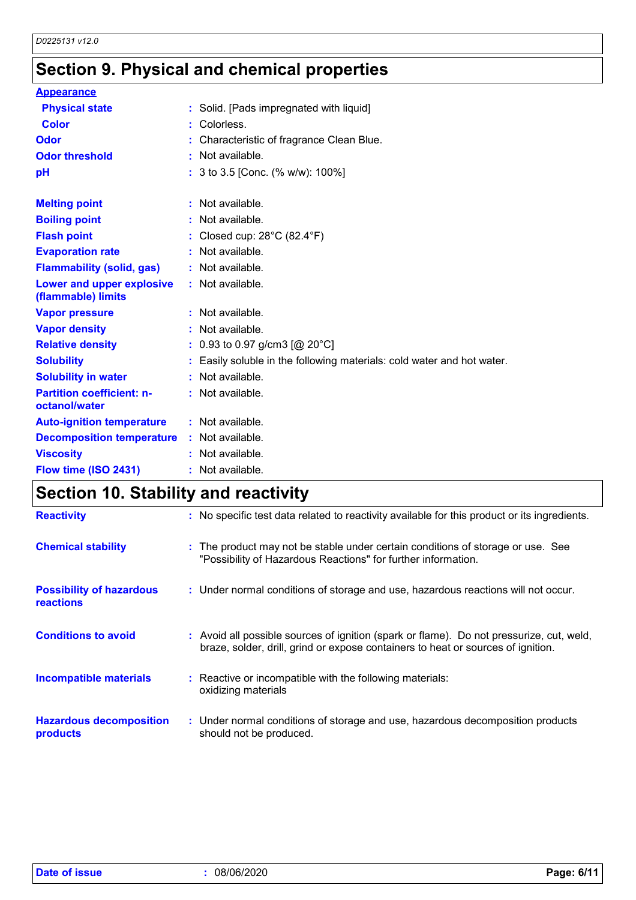# **Section 9. Physical and chemical properties**

| <b>Appearance</b>                                 |                                                                      |
|---------------------------------------------------|----------------------------------------------------------------------|
| <b>Physical state</b>                             | : Solid. [Pads impregnated with liquid]                              |
| <b>Color</b>                                      | : Colorless.                                                         |
| Odor                                              | Characteristic of fragrance Clean Blue.                              |
| <b>Odor threshold</b>                             | : Not available.                                                     |
| pH                                                | : 3 to 3.5 [Conc. (% w/w): 100%]                                     |
| <b>Melting point</b>                              | : Not available.                                                     |
| <b>Boiling point</b>                              | : Not available.                                                     |
| <b>Flash point</b>                                | : Closed cup: $28^{\circ}$ C (82.4 $^{\circ}$ F)                     |
| <b>Evaporation rate</b>                           | : Not available.                                                     |
| <b>Flammability (solid, gas)</b>                  | : Not available.                                                     |
| Lower and upper explosive<br>(flammable) limits   | : Not available.                                                     |
| <b>Vapor pressure</b>                             | : Not available.                                                     |
| <b>Vapor density</b>                              | : Not available.                                                     |
| <b>Relative density</b>                           | : 0.93 to 0.97 g/cm3 [@ 20°C]                                        |
| <b>Solubility</b>                                 | Easily soluble in the following materials: cold water and hot water. |
| <b>Solubility in water</b>                        | Not available.                                                       |
| <b>Partition coefficient: n-</b><br>octanol/water | : Not available.                                                     |
| <b>Auto-ignition temperature</b>                  | : Not available.                                                     |
| <b>Decomposition temperature</b>                  | : Not available.                                                     |
| <b>Viscosity</b>                                  | : Not available.                                                     |
| Flow time (ISO 2431)                              | : Not available.                                                     |

# **Section 10. Stability and reactivity**

| <b>Reactivity</b>                                   | : No specific test data related to reactivity available for this product or its ingredients.                                                                                 |
|-----------------------------------------------------|------------------------------------------------------------------------------------------------------------------------------------------------------------------------------|
| <b>Chemical stability</b>                           | : The product may not be stable under certain conditions of storage or use. See<br>"Possibility of Hazardous Reactions" for further information.                             |
| <b>Possibility of hazardous</b><br><b>reactions</b> | : Under normal conditions of storage and use, hazardous reactions will not occur.                                                                                            |
| <b>Conditions to avoid</b>                          | : Avoid all possible sources of ignition (spark or flame). Do not pressurize, cut, weld,<br>braze, solder, drill, grind or expose containers to heat or sources of ignition. |
| <b>Incompatible materials</b>                       | : Reactive or incompatible with the following materials:<br>oxidizing materials                                                                                              |
| <b>Hazardous decomposition</b><br>products          | : Under normal conditions of storage and use, hazardous decomposition products<br>should not be produced.                                                                    |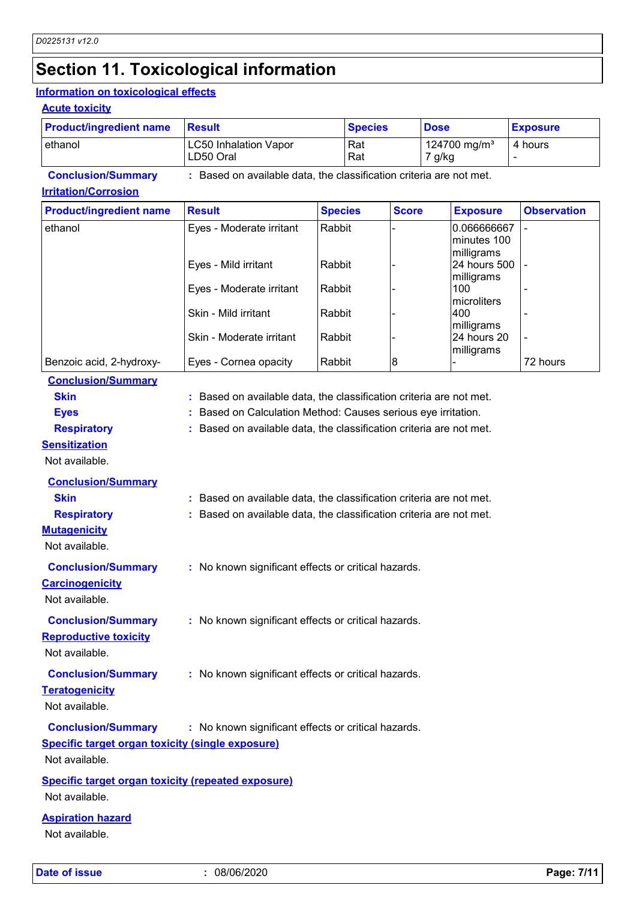### **Section 11. Toxicological information**

#### **Information on toxicological effects**

#### **Acute toxicity**

| <b>Product/ingredient name</b> | <b>Result</b>                                                     | <b>Species</b> | <b>Dose</b>                        | <b>Exposure</b> |
|--------------------------------|-------------------------------------------------------------------|----------------|------------------------------------|-----------------|
| ethanol                        | <b>LC50 Inhalation Vapor</b><br>LD50 Oral                         | Rat<br>Rat     | 124700 mg/m <sup>3</sup><br>7 g/kg | 4 hours         |
| <b>Conclusion/Summary</b>      | Based on available data, the classification criteria are not met. |                |                                    |                 |

#### **Irritation/Corrosion**

| <b>Product/ingredient name</b> | <b>Result</b>            | <b>Species</b> | <b>Score</b> | <b>Exposure</b>                          | <b>Observation</b> |
|--------------------------------|--------------------------|----------------|--------------|------------------------------------------|--------------------|
| ethanol                        | Eyes - Moderate irritant | Rabbit         |              | 0.066666667<br>minutes 100<br>milligrams |                    |
|                                | Eyes - Mild irritant     | Rabbit         |              | 24 hours 500<br>milligrams               |                    |
|                                | Eyes - Moderate irritant | Rabbit         |              | 100<br>microliters                       |                    |
|                                | Skin - Mild irritant     | Rabbit         |              | 400<br>milligrams                        |                    |
|                                | Skin - Moderate irritant | Rabbit         |              | 24 hours 20<br>milligrams                |                    |
| Benzoic acid, 2-hydroxy-       | Eyes - Cornea opacity    | Rabbit         | 8            |                                          | 72 hours           |

### **Conclusion/Summary**

| Skin | : Based on available data, the classification criteria are not met. |  |
|------|---------------------------------------------------------------------|--|
|      |                                                                     |  |

- **Eyes :** Based on Calculation Method: Causes serious eye irritation.
- **Respiratory :** Based on available data, the classification criteria are not met.
- **Sensitization**
- Not available.

| <b>Conclusion/Summary</b>    |                                                                     |
|------------------------------|---------------------------------------------------------------------|
| <b>Skin</b>                  | : Based on available data, the classification criteria are not met. |
| <b>Respiratory</b>           | : Based on available data, the classification criteria are not met. |
| <u>Mutaqenicity</u>          |                                                                     |
| Not available.               |                                                                     |
| <b>Conclusion/Summary</b>    | : No known significant effects or critical hazards.                 |
| <b>Carcinogenicity</b>       |                                                                     |
| Not available.               |                                                                     |
| <b>Conclusion/Summary</b>    | : No known significant effects or critical hazards.                 |
| <b>Reproductive toxicity</b> |                                                                     |
| Not available.               |                                                                     |
| <b>Conclusion/Summary</b>    | : No known significant effects or critical hazards.                 |

**Teratogenicity**

Not available.

**Conclusion/Summary :** No known significant effects or critical hazards.

**Specific target organ toxicity (single exposure)**

Not available.

#### **Specific target organ toxicity (repeated exposure)** Not available.

#### **Aspiration hazard**

Not available.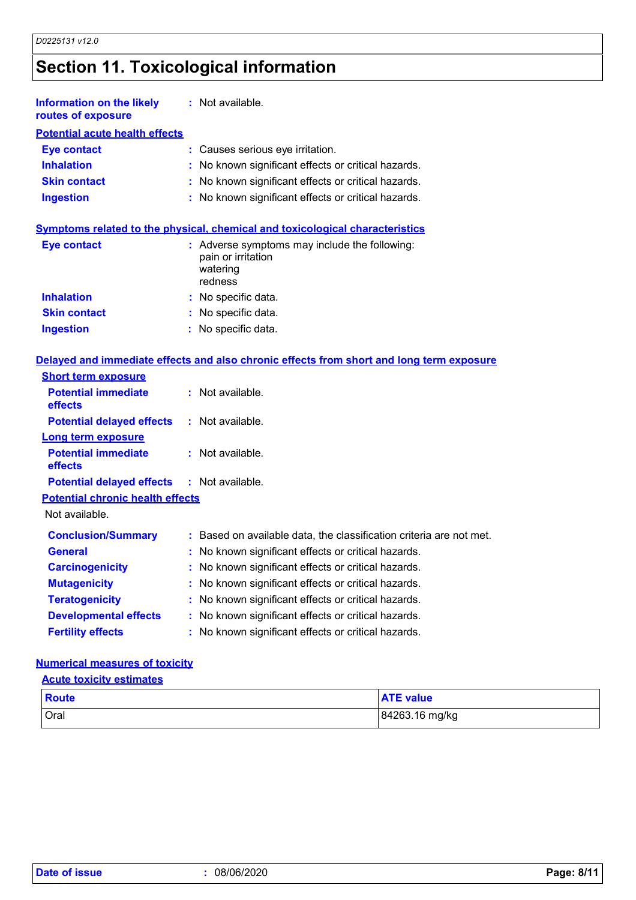# **Section 11. Toxicological information**

| <b>Information on the likely</b><br>routes of exposure | : Not available.                                    |
|--------------------------------------------------------|-----------------------------------------------------|
| <b>Potential acute health effects</b>                  |                                                     |
| <b>Eye contact</b>                                     | : Causes serious eye irritation.                    |
| <b>Inhalation</b>                                      | : No known significant effects or critical hazards. |
| <b>Skin contact</b>                                    | : No known significant effects or critical hazards. |
| <b>Ingestion</b>                                       | : No known significant effects or critical hazards. |

| Symptoms related to the physical, chemical and toxicological characteristics |
|------------------------------------------------------------------------------|
|------------------------------------------------------------------------------|

| Eye contact         | : Adverse symptoms may include the following:<br>pain or irritation<br>watering<br>redness |
|---------------------|--------------------------------------------------------------------------------------------|
| <b>Inhalation</b>   | : No specific data.                                                                        |
| <b>Skin contact</b> | : No specific data.                                                                        |
| <b>Ingestion</b>    | : No specific data.                                                                        |

|  |  |  | Delaved and immediate effects and also chronic effects from short and long term exposure |  |  |  |  |  |  |  |  |  |  |
|--|--|--|------------------------------------------------------------------------------------------|--|--|--|--|--|--|--|--|--|--|
|--|--|--|------------------------------------------------------------------------------------------|--|--|--|--|--|--|--|--|--|--|

| <b>Short term exposure</b>                        |                                                                     |
|---------------------------------------------------|---------------------------------------------------------------------|
| <b>Potential immediate</b><br>effects             | $:$ Not available.                                                  |
| <b>Potential delayed effects</b>                  | : Not available.                                                    |
| <b>Long term exposure</b>                         |                                                                     |
| <b>Potential immediate</b><br>effects             | $:$ Not available.                                                  |
| <b>Potential delayed effects : Not available.</b> |                                                                     |
| <b>Potential chronic health effects</b>           |                                                                     |
| Not available.                                    |                                                                     |
| <b>Conclusion/Summary</b>                         | : Based on available data, the classification criteria are not met. |
| <b>General</b>                                    | : No known significant effects or critical hazards.                 |
| <b>Carcinogenicity</b>                            | : No known significant effects or critical hazards.                 |
| <b>Mutagenicity</b>                               | : No known significant effects or critical hazards.                 |
| <b>Teratogenicity</b>                             | : No known significant effects or critical hazards.                 |
| <b>Developmental effects</b>                      | : No known significant effects or critical hazards.                 |
| <b>Fertility effects</b>                          | : No known significant effects or critical hazards.                 |

#### **Numerical measures of toxicity**

### **Acute toxicity estimates**

| Route       | <b>ATE value</b> |
|-------------|------------------|
| <b>Oral</b> | 84263.16 mg/kg   |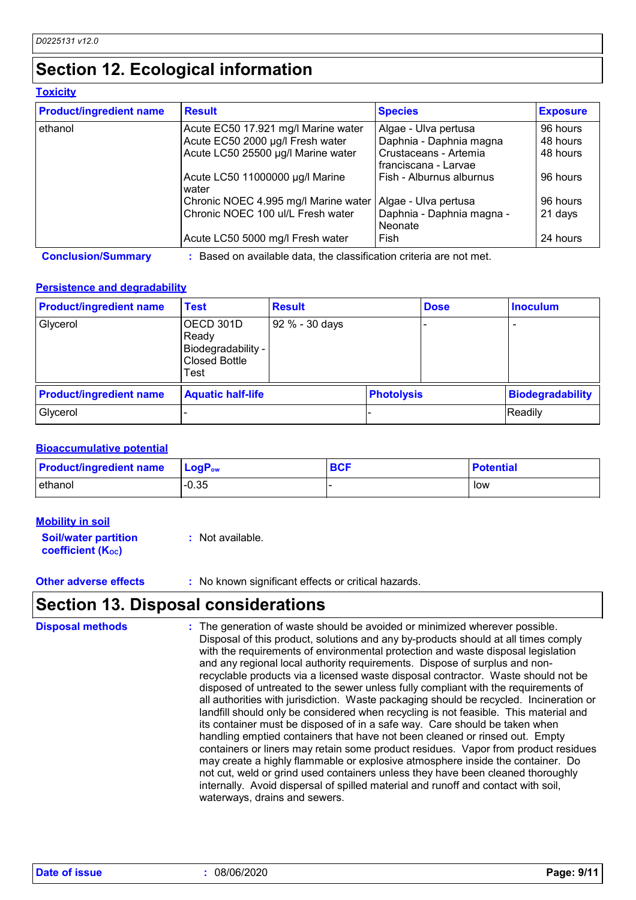### **Section 12. Ecological information**

#### **Toxicity**

| <b>Product/ingredient name</b> | <b>Result</b>                            | <b>Species</b>                                                    | <b>Exposure</b> |  |
|--------------------------------|------------------------------------------|-------------------------------------------------------------------|-----------------|--|
| ethanol                        | Acute EC50 17.921 mg/l Marine water      | Algae - Ulva pertusa                                              | 96 hours        |  |
|                                | Acute EC50 2000 µg/l Fresh water         | Daphnia - Daphnia magna                                           | 48 hours        |  |
|                                | Acute LC50 25500 µg/l Marine water       | Crustaceans - Artemia<br>franciscana - Larvae                     | 48 hours        |  |
|                                | Acute LC50 11000000 µg/l Marine<br>water | Fish - Alburnus alburnus                                          | 96 hours        |  |
|                                | Chronic NOEC 4.995 mg/l Marine water     | Algae - Ulva pertusa                                              | 96 hours        |  |
|                                | Chronic NOEC 100 ul/L Fresh water        | Daphnia - Daphnia magna -<br>Neonate                              | 21 days         |  |
|                                | Acute LC50 5000 mg/l Fresh water         | Fish                                                              | 24 hours        |  |
| <b>Conclusion/Summary</b>      |                                          | Based on available data, the classification criteria are not met. |                 |  |

#### **Persistence and degradability**

| <b>Product/ingredient name</b> | <b>Test</b>                                                              | <b>Result</b>  |                   | <b>Dose</b> | <b>Inoculum</b>         |
|--------------------------------|--------------------------------------------------------------------------|----------------|-------------------|-------------|-------------------------|
| Glycerol                       | OECD 301D<br>Ready<br>Biodegradability -<br><b>Closed Bottle</b><br>Test | 92 % - 30 days |                   |             |                         |
| <b>Product/ingredient name</b> | <b>Aquatic half-life</b>                                                 |                | <b>Photolysis</b> |             | <b>Biodegradability</b> |
| Glycerol                       |                                                                          |                |                   | Readily     |                         |

#### **Bioaccumulative potential**

| <b>Product/ingredient name</b> | $\mathsf{LogP}_\mathsf{ow}$ | <b>BCF</b> | <b>Potential</b> |
|--------------------------------|-----------------------------|------------|------------------|
| ethanol                        | $-0.35$                     |            | low              |

#### **Mobility in soil**

**Soil/water partition coefficient (KOC) :** Not available.

**Other adverse effects** : No known significant effects or critical hazards.

### **Section 13. Disposal considerations**

The generation of waste should be avoided or minimized wherever possible. Disposal of this product, solutions and any by-products should at all times comply with the requirements of environmental protection and waste disposal legislation and any regional local authority requirements. Dispose of surplus and nonrecyclable products via a licensed waste disposal contractor. Waste should not be disposed of untreated to the sewer unless fully compliant with the requirements of all authorities with jurisdiction. Waste packaging should be recycled. Incineration or landfill should only be considered when recycling is not feasible. This material and its container must be disposed of in a safe way. Care should be taken when handling emptied containers that have not been cleaned or rinsed out. Empty containers or liners may retain some product residues. Vapor from product residues may create a highly flammable or explosive atmosphere inside the container. Do not cut, weld or grind used containers unless they have been cleaned thoroughly internally. Avoid dispersal of spilled material and runoff and contact with soil, waterways, drains and sewers. **Disposal methods :**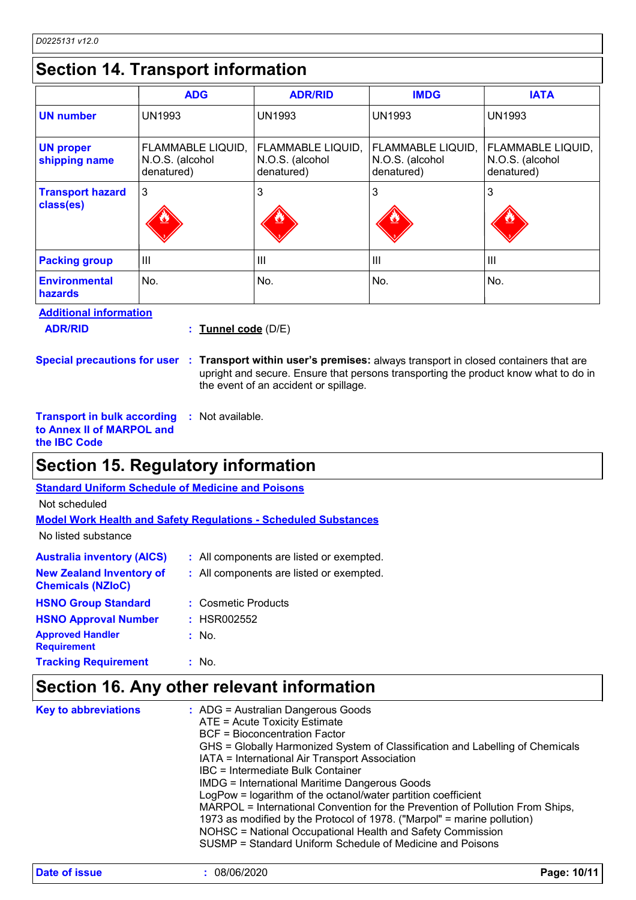# **Section 14. Transport information**

|                                      | <b>ADG</b>                                         | <b>ADR/RID</b>                                            | <b>IMDG</b>                                               | <b>IATA</b>                                        |
|--------------------------------------|----------------------------------------------------|-----------------------------------------------------------|-----------------------------------------------------------|----------------------------------------------------|
| <b>UN number</b>                     | <b>UN1993</b>                                      | <b>UN1993</b>                                             | <b>UN1993</b>                                             | <b>UN1993</b>                                      |
| <b>UN proper</b><br>shipping name    | FLAMMABLE LIQUID,<br>N.O.S. (alcohol<br>denatured) | <b>FLAMMABLE LIQUID,</b><br>N.O.S. (alcohol<br>denatured) | <b>FLAMMABLE LIQUID,</b><br>N.O.S. (alcohol<br>denatured) | FLAMMABLE LIQUID,<br>N.O.S. (alcohol<br>denatured) |
| <b>Transport hazard</b><br>class(es) | 3                                                  | 3                                                         | 3                                                         | 3                                                  |
| <b>Packing group</b>                 | Ш                                                  | $\mathbf{III}$                                            | $\mathbf{III}$                                            | $\mathbf{III}$                                     |
| <b>Environmental</b><br>hazards      | No.                                                | No.                                                       | No.                                                       | No.                                                |

**Additional information**

**ADR/RID :**

**Tunnel code** (D/E)

**Special precautions for user Transport within user's premises:** always transport in closed containers that are **:** upright and secure. Ensure that persons transporting the product know what to do in the event of an accident or spillage.

**Transport in bulk according to Annex II of MARPOL and the IBC Code :** Not available.

### **Section 15. Regulatory information**

| <b>Standard Uniform Schedule of Medicine and Poisons</b>               |                                          |  |  |  |  |
|------------------------------------------------------------------------|------------------------------------------|--|--|--|--|
| Not scheduled                                                          |                                          |  |  |  |  |
| <b>Model Work Health and Safety Regulations - Scheduled Substances</b> |                                          |  |  |  |  |
| No listed substance                                                    |                                          |  |  |  |  |
| <b>Australia inventory (AICS)</b>                                      | : All components are listed or exempted. |  |  |  |  |
| <b>New Zealand Inventory of</b><br><b>Chemicals (NZIoC)</b>            | : All components are listed or exempted. |  |  |  |  |
| <b>HSNO Group Standard</b>                                             | : Cosmetic Products                      |  |  |  |  |
| <b>HSNO Approval Number</b>                                            | : HSR002552                              |  |  |  |  |
| <b>Approved Handler</b><br><b>Requirement</b>                          | : No.                                    |  |  |  |  |
| <b>Tracking Requirement</b>                                            | : No.                                    |  |  |  |  |

### **Section 16. Any other relevant information**

| <b>Key to abbreviations</b><br>$\therefore$ ADG = Australian Dangerous Goods<br>ATE = Acute Toxicity Estimate<br>BCF = Bioconcentration Factor<br>GHS = Globally Harmonized System of Classification and Labelling of Chemicals<br>IATA = International Air Transport Association<br>IBC = Intermediate Bulk Container<br><b>IMDG = International Maritime Dangerous Goods</b><br>LogPow = logarithm of the octanol/water partition coefficient<br>MARPOL = International Convention for the Prevention of Pollution From Ships,<br>1973 as modified by the Protocol of 1978. ("Marpol" = marine pollution)<br>NOHSC = National Occupational Health and Safety Commission<br>SUSMP = Standard Uniform Schedule of Medicine and Poisons |  |
|----------------------------------------------------------------------------------------------------------------------------------------------------------------------------------------------------------------------------------------------------------------------------------------------------------------------------------------------------------------------------------------------------------------------------------------------------------------------------------------------------------------------------------------------------------------------------------------------------------------------------------------------------------------------------------------------------------------------------------------|--|
|----------------------------------------------------------------------------------------------------------------------------------------------------------------------------------------------------------------------------------------------------------------------------------------------------------------------------------------------------------------------------------------------------------------------------------------------------------------------------------------------------------------------------------------------------------------------------------------------------------------------------------------------------------------------------------------------------------------------------------------|--|